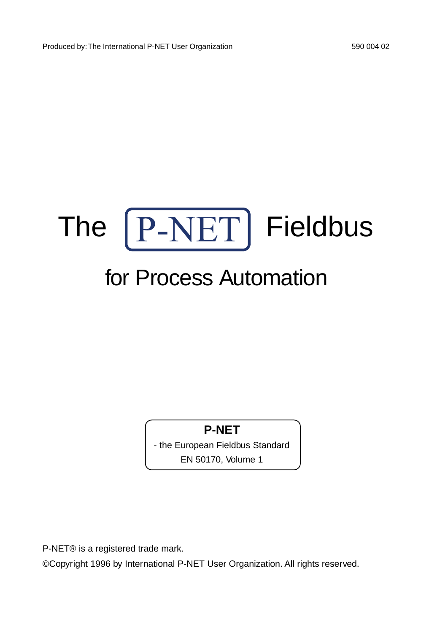

# for Process Automation

### **P-NET**

- the European Fieldbus Standard EN 50170, Volume 1

P-NET® is a registered trade mark.

©Copyright 1996 by International P-NET User Organization. All rights reserved.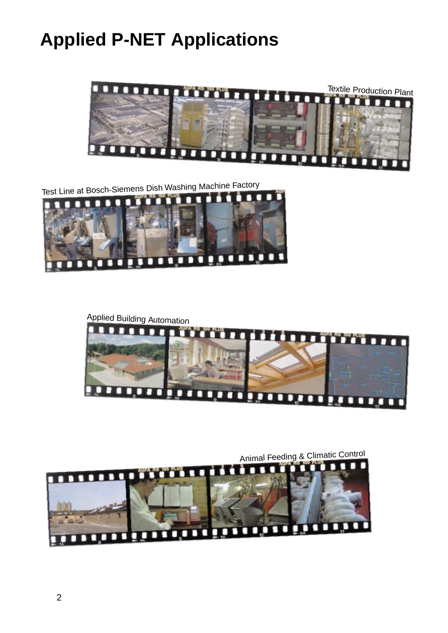# **Applied P-NET Applications**







Animal Feeding & Climatic Control

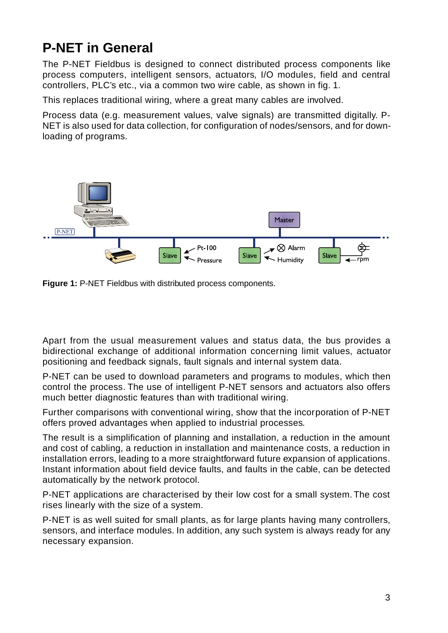## **P-NET in General**

The P-NET Fieldbus is designed to connect distributed process components like process computers, intelligent sensors, actuators, I/O modules, field and central controllers, PLC's etc., via a common two wire cable, as shown in fig. 1.

This replaces traditional wiring, where a great many cables are involved.

Process data (e.g. measurement values, valve signals) are transmitted digitally. P-NET is also used for data collection, for configuration of nodes/sensors, and for downloading of programs.





Apart from the usual measurement values and status data, the bus provides a bidirectional exchange of additional information concerning limit values, actuator positioning and feedback signals, fault signals and internal system data.

P-NET can be used to download parameters and programs to modules, which then control the process. The use of intelligent P-NET sensors and actuators also offers much better diagnostic features than with traditional wiring.

Further comparisons with conventional wiring, show that the incorporation of P-NET offers proved advantages when applied to industrial processes.

The result is a simplification of planning and installation, a reduction in the amount and cost of cabling, a reduction in installation and maintenance costs, a reduction in installation errors, leading to a more straightforward future expansion of applications. Instant information about field device faults, and faults in the cable, can be detected automatically by the network protocol.

P-NET applications are characterised by their low cost for a small system. The cost rises linearly with the size of a system.

P-NET is as well suited for small plants, as for large plants having many controllers, sensors, and interface modules. In addition, any such system is always ready for any necessary expansion.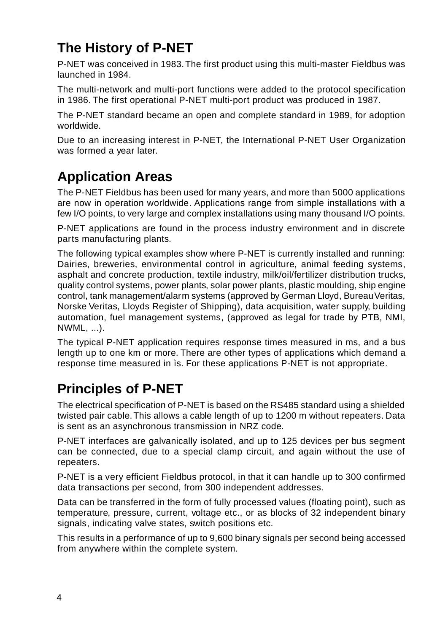# **The History of P-NET**

P-NET was conceived in 1983. The first product using this multi-master Fieldbus was launched in 1984.

The multi-network and multi-port functions were added to the protocol specification in 1986. The first operational P-NET multi-port product was produced in 1987.

The P-NET standard became an open and complete standard in 1989, for adoption worldwide.

Due to an increasing interest in P-NET, the International P-NET User Organization was formed a year later.

## **Application Areas**

The P-NET Fieldbus has been used for many years, and more than 5000 applications are now in operation worldwide. Applications range from simple installations with a few I/O points, to very large and complex installations using many thousand I/O points.

P-NET applications are found in the process industry environment and in discrete parts manufacturing plants.

The following typical examples show where P-NET is currently installed and running: Dairies, breweries, environmental control in agriculture, animal feeding systems, asphalt and concrete production, textile industry, milk/oil/fertilizer distribution trucks, quality control systems, power plants, solar power plants, plastic moulding, ship engine control, tank management/alarm systems (approved by German Lloyd, Bureau Veritas, Norske Veritas, Lloyds Register of Shipping), data acquisition, water supply, building automation, fuel management systems, (approved as legal for trade by PTB, NMI, NWML, ...).

The typical P-NET application requires response times measured in ms, and a bus length up to one km or more. There are other types of applications which demand a response time measured in ìs. For these applications P-NET is not appropriate.

### **Principles of P-NET**

The electrical specification of P-NET is based on the RS485 standard using a shielded twisted pair cable. This allows a cable length of up to 1200 m without repeaters. Data is sent as an asynchronous transmission in NRZ code.

P-NET interfaces are galvanically isolated, and up to 125 devices per bus segment can be connected, due to a special clamp circuit, and again without the use of repeaters.

P-NET is a very efficient Fieldbus protocol, in that it can handle up to 300 confirmed data transactions per second, from 300 independent addresses.

Data can be transferred in the form of fully processed values (floating point), such as temperature, pressure, current, voltage etc., or as blocks of 32 independent binary signals, indicating valve states, switch positions etc.

This results in a performance of up to 9,600 binary signals per second being accessed from anywhere within the complete system.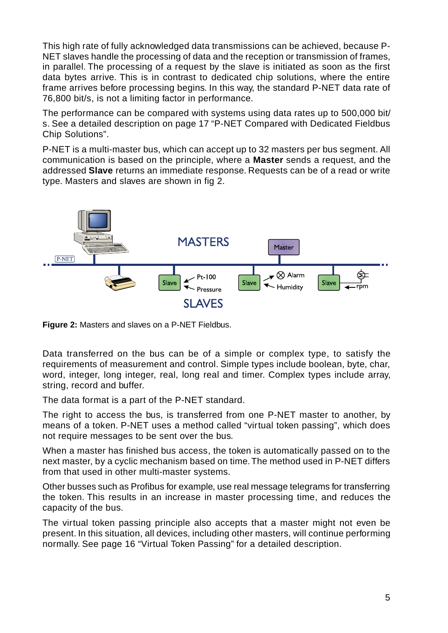This high rate of fully acknowledged data transmissions can be achieved, because P-NET slaves handle the processing of data and the reception or transmission of frames, in parallel. The processing of a request by the slave is initiated as soon as the first data bytes arrive. This is in contrast to dedicated chip solutions, where the entire frame arrives before processing begins. In this way, the standard P-NET data rate of 76,800 bit/s, is not a limiting factor in performance.

The performance can be compared with systems using data rates up to 500,000 bit/ s. See a detailed description on page 17 "P-NET Compared with Dedicated Fieldbus Chip Solutions".

P-NET is a multi-master bus, which can accept up to 32 masters per bus segment. All communication is based on the principle, where a **Master** sends a request, and the addressed **Slave** returns an immediate response. Requests can be of a read or write type. Masters and slaves are shown in fig 2.



**Figure 2:** Masters and slaves on a P-NET Fieldbus.

Data transferred on the bus can be of a simple or complex type, to satisfy the requirements of measurement and control. Simple types include boolean, byte, char, word, integer, long integer, real, long real and timer. Complex types include array, string, record and buffer.

The data format is a part of the P-NET standard.

The right to access the bus, is transferred from one P-NET master to another, by means of a token. P-NET uses a method called "virtual token passing", which does not require messages to be sent over the bus.

When a master has finished bus access, the token is automatically passed on to the next master, by a cyclic mechanism based on time. The method used in P-NET differs from that used in other multi-master systems.

Other busses such as Profibus for example, use real message telegrams for transferring the token. This results in an increase in master processing time, and reduces the capacity of the bus.

The virtual token passing principle also accepts that a master might not even be present. In this situation, all devices, including other masters, will continue performing normally. See page 16 "Virtual Token Passing" for a detailed description.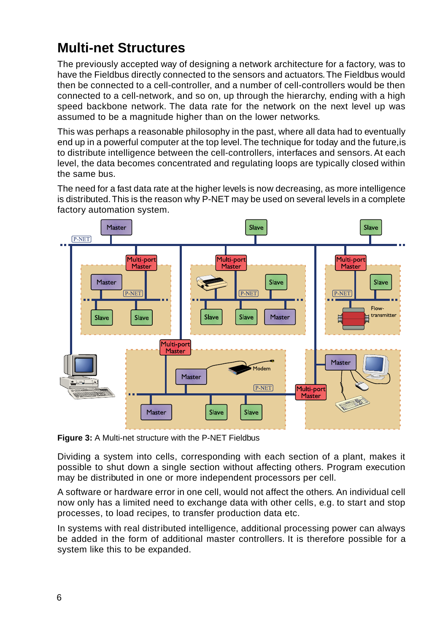### **Multi-net Structures**

The previously accepted way of designing a network architecture for a factory, was to have the Fieldbus directly connected to the sensors and actuators. The Fieldbus would then be connected to a cell-controller, and a number of cell-controllers would be then connected to a cell-network, and so on, up through the hierarchy, ending with a high speed backbone network. The data rate for the network on the next level up was assumed to be a magnitude higher than on the lower networks.

This was perhaps a reasonable philosophy in the past, where all data had to eventually end up in a powerful computer at the top level. The technique for today and the future,is to distribute intelligence between the cell-controllers, interfaces and sensors. At each level, the data becomes concentrated and regulating loops are typically closed within the same bus.

The need for a fast data rate at the higher levels is now decreasing, as more intelligence is distributed. This is the reason why P-NET may be used on several levels in a complete factory automation system.



**Figure 3:** A Multi-net structure with the P-NET Fieldbus

Dividing a system into cells, corresponding with each section of a plant, makes it possible to shut down a single section without affecting others. Program execution may be distributed in one or more independent processors per cell.

A software or hardware error in one cell, would not affect the others. An individual cell now only has a limited need to exchange data with other cells, e.g. to start and stop processes, to load recipes, to transfer production data etc.

In systems with real distributed intelligence, additional processing power can always be added in the form of additional master controllers. It is therefore possible for a system like this to be expanded.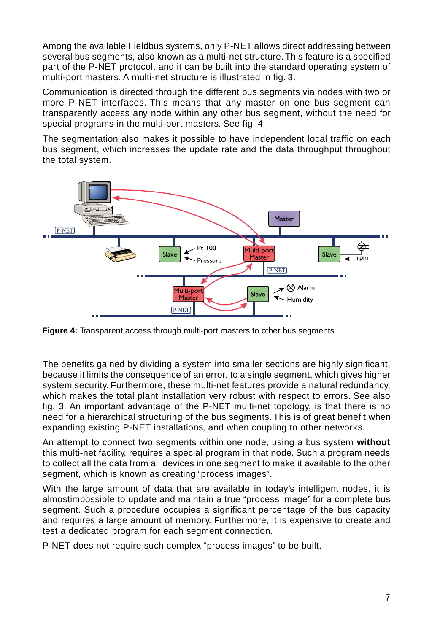Among the available Fieldbus systems, only P-NET allows direct addressing between several bus segments, also known as a multi-net structure. This feature is a specified part of the P-NET protocol, and it can be built into the standard operating system of multi-port masters. A multi-net structure is illustrated in fig. 3.

Communication is directed through the different bus segments via nodes with two or more P-NET interfaces. This means that any master on one bus segment can transparently access any node within any other bus segment, without the need for special programs in the multi-port masters. See fig. 4.

The segmentation also makes it possible to have independent local traffic on each bus segment, which increases the update rate and the data throughput throughout the total system.



**Figure 4:** Transparent access through multi-port masters to other bus segments.

The benefits gained by dividing a system into smaller sections are highly significant, because it limits the consequence of an error, to a single segment, which gives higher system security. Furthermore, these multi-net features provide a natural redundancy, which makes the total plant installation very robust with respect to errors. See also fig. 3. An important advantage of the P-NET multi-net topology, is that there is no need for a hierarchical structuring of the bus segments. This is of great benefit when expanding existing P-NET installations, and when coupling to other networks.

An attempt to connect two segments within one node, using a bus system **without** this multi-net facility, requires a special program in that node. Such a program needs to collect all the data from all devices in one segment to make it available to the other segment, which is known as creating "process images".

With the large amount of data that are available in today's intelligent nodes, it is almostimpossible to update and maintain a true "process image" for a complete bus segment. Such a procedure occupies a significant percentage of the bus capacity and requires a large amount of memory. Furthermore, it is expensive to create and test a dedicated program for each segment connection.

P-NET does not require such complex "process images" to be built.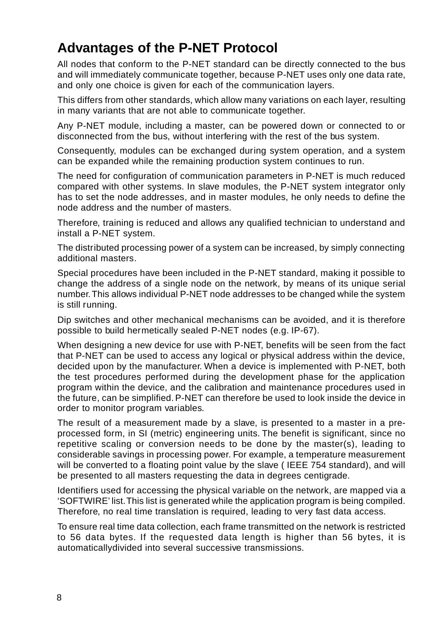### **Advantages of the P-NET Protocol**

All nodes that conform to the P-NET standard can be directly connected to the bus and will immediately communicate together, because P-NET uses only one data rate, and only one choice is given for each of the communication layers.

This differs from other standards, which allow many variations on each layer, resulting in many variants that are not able to communicate together.

Any P-NET module, including a master, can be powered down or connected to or disconnected from the bus, without interfering with the rest of the bus system.

Consequently, modules can be exchanged during system operation, and a system can be expanded while the remaining production system continues to run.

The need for configuration of communication parameters in P-NET is much reduced compared with other systems. In slave modules, the P-NET system integrator only has to set the node addresses, and in master modules, he only needs to define the node address and the number of masters.

Therefore, training is reduced and allows any qualified technician to understand and install a P-NET system.

The distributed processing power of a system can be increased, by simply connecting additional masters.

Special procedures have been included in the P-NET standard, making it possible to change the address of a single node on the network, by means of its unique serial number. This allows individual P-NET node addresses to be changed while the system is still running.

Dip switches and other mechanical mechanisms can be avoided, and it is therefore possible to build hermetically sealed P-NET nodes (e.g. IP-67).

When designing a new device for use with P-NET, benefits will be seen from the fact that P-NET can be used to access any logical or physical address within the device, decided upon by the manufacturer. When a device is implemented with P-NET, both the test procedures performed during the development phase for the application program within the device, and the calibration and maintenance procedures used in the future, can be simplified. P-NET can therefore be used to look inside the device in order to monitor program variables.

The result of a measurement made by a slave, is presented to a master in a preprocessed form, in SI (metric) engineering units. The benefit is significant, since no repetitive scaling or conversion needs to be done by the master(s), leading to considerable savings in processing power. For example, a temperature measurement will be converted to a floating point value by the slave (IEEE 754 standard), and will be presented to all masters requesting the data in degrees centigrade.

Identifiers used for accessing the physical variable on the network, are mapped via a 'SOFTWIRE' list. This list is generated while the application program is being compiled. Therefore, no real time translation is required, leading to very fast data access.

To ensure real time data collection, each frame transmitted on the network is restricted to 56 data bytes. If the requested data length is higher than 56 bytes, it is automaticallydivided into several successive transmissions.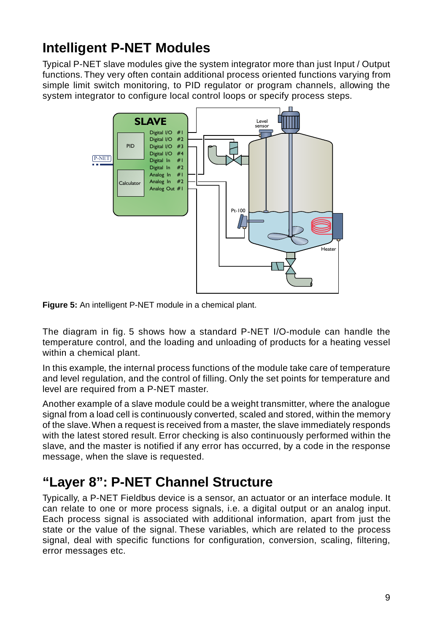## **Intelligent P-NET Modules**

Typical P-NET slave modules give the system integrator more than just Input / Output functions. They very often contain additional process oriented functions varying from simple limit switch monitoring, to PID regulator or program channels, allowing the system integrator to configure local control loops or specify process steps.



**Figure 5:** An intelligent P-NET module in a chemical plant.

The diagram in fig. 5 shows how a standard P-NET I/O-module can handle the temperature control, and the loading and unloading of products for a heating vessel within a chemical plant.

In this example, the internal process functions of the module take care of temperature and level regulation, and the control of filling. Only the set points for temperature and level are required from a P-NET master.

Another example of a slave module could be a weight transmitter, where the analogue signal from a load cell is continuously converted, scaled and stored, within the memory of the slave. When a request is received from a master, the slave immediately responds with the latest stored result. Error checking is also continuously performed within the slave, and the master is notified if any error has occurred, by a code in the response message, when the slave is requested.

### **"Layer 8": P-NET Channel Structure**

Typically, a P-NET Fieldbus device is a sensor, an actuator or an interface module. It can relate to one or more process signals, i.e. a digital output or an analog input. Each process signal is associated with additional information, apart from just the state or the value of the signal. These variables, which are related to the process signal, deal with specific functions for configuration, conversion, scaling, filtering, error messages etc.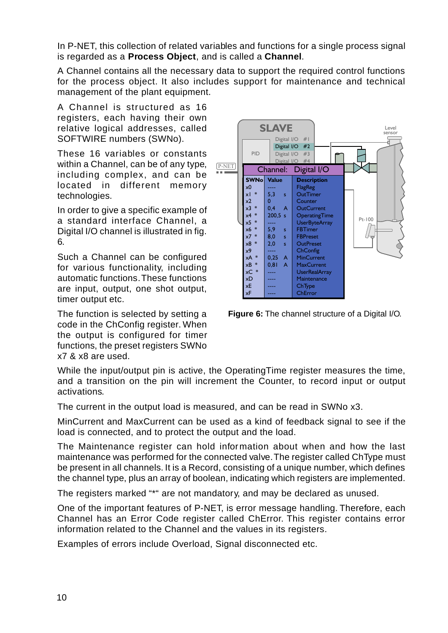In P-NET, this collection of related variables and functions for a single process signal is regarded as a **Process Object**, and is called a **Channel**.

A Channel contains all the necessary data to support the required control functions for the process object. It also includes support for maintenance and technical management of the plant equipment.

A Channel is structured as 16 registers, each having their own relative logical addresses, called SOFTWIRE numbers (SWNo).

These 16 variables or constants within a Channel, can be of any type, including complex, and can be located in different memory technologies.

In order to give a specific example of a standard interface Channel, a Digital I/O channel is illustrated in fig. 6.

Such a Channel can be configured for various functionality, including automatic functions. These functions are input, output, one shot output, timer output etc.

The function is selected by setting a code in the ChConfig register. When the output is configured for timer functions, the preset registers SWNo x7 & x8 are used.



**Figure 6:** The channel structure of a Digital I/O.

While the input/output pin is active, the OperatingTime register measures the time, and a transition on the pin will increment the Counter, to record input or output activations.

The current in the output load is measured, and can be read in SWNo x3.

MinCurrent and MaxCurrent can be used as a kind of feedback signal to see if the load is connected, and to protect the output and the load.

The Maintenance register can hold information about when and how the last maintenance was performed for the connected valve. The register called ChType must be present in all channels. It is a Record, consisting of a unique number, which defines the channel type, plus an array of boolean, indicating which registers are implemented.

The registers marked "\*" are not mandatory, and may be declared as unused.

One of the important features of P-NET, is error message handling. Therefore, each Channel has an Error Code register called ChError. This register contains error information related to the Channel and the values in its registers.

Examples of errors include Overload, Signal disconnected etc.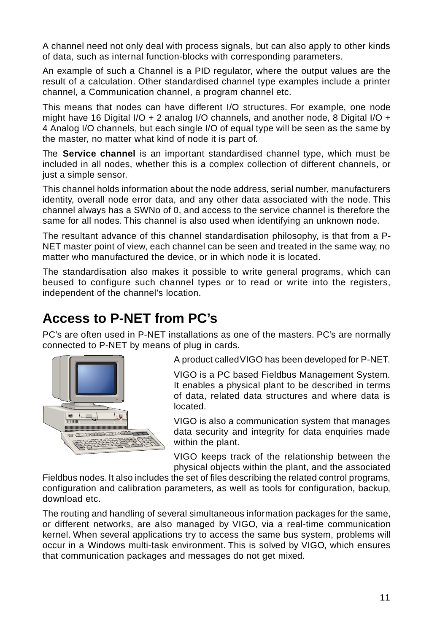A channel need not only deal with process signals, but can also apply to other kinds of data, such as internal function-blocks with corresponding parameters.

An example of such a Channel is a PID regulator, where the output values are the result of a calculation. Other standardised channel type examples include a printer channel, a Communication channel, a program channel etc.

This means that nodes can have different I/O structures. For example, one node might have 16 Digital I/O + 2 analog I/O channels, and another node, 8 Digital I/O + 4 Analog I/O channels, but each single I/O of equal type will be seen as the same by the master, no matter what kind of node it is part of.

The **Service channel** is an important standardised channel type, which must be included in all nodes, whether this is a complex collection of different channels, or just a simple sensor.

This channel holds information about the node address, serial number, manufacturers identity, overall node error data, and any other data associated with the node. This channel always has a SWNo of 0, and access to the service channel is therefore the same for all nodes. This channel is also used when identifying an unknown node.

The resultant advance of this channel standardisation philosophy, is that from a P-NET master point of view, each channel can be seen and treated in the same way, no matter who manufactured the device, or in which node it is located.

The standardisation also makes it possible to write general programs, which can beused to configure such channel types or to read or write into the registers, independent of the channel's location.

### **Access to P-NET from PC's**

PC's are often used in P-NET installations as one of the masters. PC's are normally connected to P-NET by means of plug in cards.



A product called VIGO has been developed for P-NET.

VIGO is a PC based Fieldbus Management System. It enables a physical plant to be described in terms of data, related data structures and where data is located.

VIGO is also a communication system that manages data security and integrity for data enquiries made within the plant.

VIGO keeps track of the relationship between the physical objects within the plant, and the associated

Fieldbus nodes. It also includes the set of files describing the related control programs, configuration and calibration parameters, as well as tools for configuration, backup, download etc.

The routing and handling of several simultaneous information packages for the same, or different networks, are also managed by VIGO, via a real-time communication kernel. When several applications try to access the same bus system, problems will occur in a Windows multi-task environment. This is solved by VIGO, which ensures that communication packages and messages do not get mixed.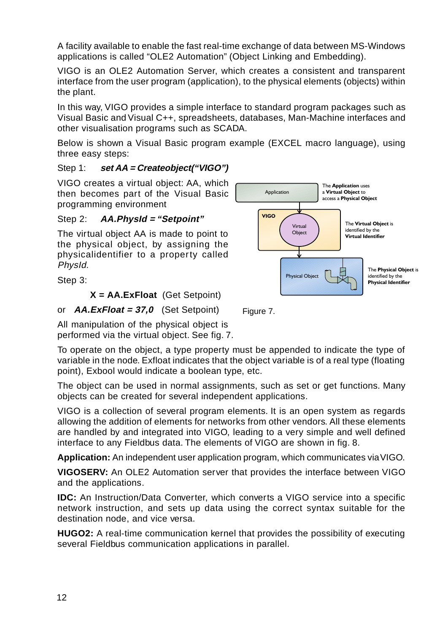A facility available to enable the fast real-time exchange of data between MS-Windows applications is called "OLE2 Automation" (Object Linking and Embedding).

VIGO is an OLE2 Automation Server, which creates a consistent and transparent interface from the user program (application), to the physical elements (objects) within the plant.

In this way, VIGO provides a simple interface to standard program packages such as Visual Basic and Visual C++, spreadsheets, databases, Man-Machine interfaces and other visualisation programs such as SCADA.

Below is shown a Visual Basic program example (EXCEL macro language), using three easy steps:

#### Step 1: **set AA = Createobject("VIGO")**

VIGO creates a virtual object: AA, which then becomes part of the Visual Basic programming environment

#### Step 2: **AA.PhysId = "Setpoint"**

The virtual object AA is made to point to the physical object, by assigning the physicalidentifier to a property called PhysId.

Step 3:

#### **X = AA.ExFloat** (Get Setpoint)

or **AA.ExFloat = 37,0** (Set Setpoint)

All manipulation of the physical object is performed via the virtual object. See fig. 7.

To operate on the object, a type property must be appended to indicate the type of variable in the node. Exfloat indicates that the object variable is of a real type (floating point), Exbool would indicate a boolean type, etc.

The object can be used in normal assignments, such as set or get functions. Many objects can be created for several independent applications.

VIGO is a collection of several program elements. It is an open system as regards allowing the addition of elements for networks from other vendors. All these elements are handled by and integrated into VIGO, leading to a very simple and well defined interface to any Fieldbus data. The elements of VIGO are shown in fig. 8.

**Application:** An independent user application program, which communicates via VIGO.

**VIGOSERV:** An OLE2 Automation server that provides the interface between VIGO and the applications.

**IDC:** An Instruction/Data Converter, which converts a VIGO service into a specific network instruction, and sets up data using the correct syntax suitable for the destination node, and vice versa.

**HUGO2:** A real-time communication kernel that provides the possibility of executing several Fieldbus communication applications in parallel.



Figure 7.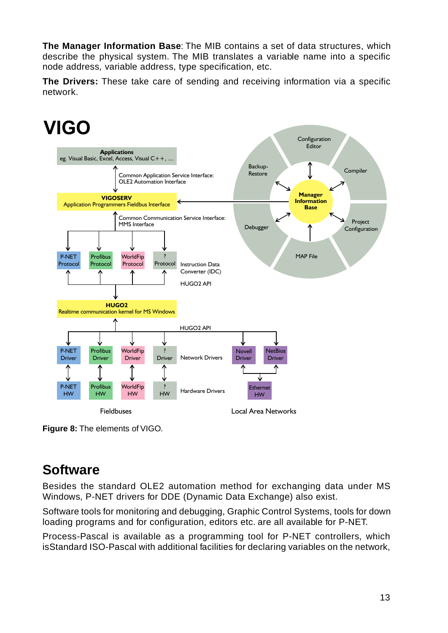**The Manager Information Base**: The MIB contains a set of data structures, which describe the physical system. The MIB translates a variable name into a specific node address, variable address, type specification, etc.

**The Drivers:** These take care of sending and receiving information via a specific network.



**Figure 8:** The elements of VIGO.

### **Software**

Besides the standard OLE2 automation method for exchanging data under MS Windows, P-NET drivers for DDE (Dynamic Data Exchange) also exist.

Software tools for monitoring and debugging, Graphic Control Systems, tools for down loading programs and for configuration, editors etc. are all available for P-NET.

Process-Pascal is available as a programming tool for P-NET controllers, which isStandard ISO-Pascal with additional facilities for declaring variables on the network,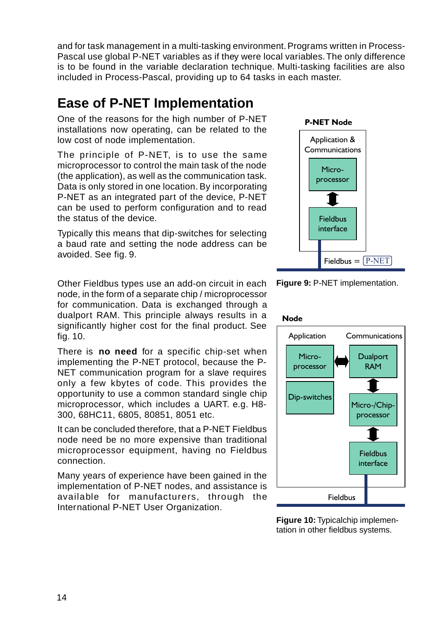and for task management in a multi-tasking environment. Programs written in Process-Pascal use global P-NET variables as if they were local variables. The only difference is to be found in the variable declaration technique. Multi-tasking facilities are also included in Process-Pascal, providing up to 64 tasks in each master.

### **Ease of P-NET Implementation**

One of the reasons for the high number of P-NET installations now operating, can be related to the low cost of node implementation.

The principle of P-NET, is to use the same microprocessor to control the main task of the node (the application), as well as the communication task. Data is only stored in one location. By incorporating P-NET as an integrated part of the device, P-NET can be used to perform configuration and to read the status of the device.

Typically this means that dip-switches for selecting a baud rate and setting the node address can be avoided. See fig. 9.

Other Fieldbus types use an add-on circuit in each node, in the form of a separate chip / microprocessor for communication. Data is exchanged through a dualport RAM. This principle always results in a significantly higher cost for the final product. See fig. 10.

There is **no need** for a specific chip-set when implementing the P-NET protocol, because the P-NET communication program for a slave requires only a few kbytes of code. This provides the opportunity to use a common standard single chip microprocessor, which includes a UART. e.g. H8- 300, 68HC11, 6805, 80851, 8051 etc.

It can be concluded therefore, that a P-NET Fieldbus node need be no more expensive than traditional microprocessor equipment, having no Fieldbus connection.

Many years of experience have been gained in the implementation of P-NET nodes, and assistance is available for manufacturers, through the International P-NET User Organization.





Fieldbus =

 $Fieldbus = [P-NET]$ 



**Figure 10:** Typicalchip implementation in other fieldbus systems.

#### 14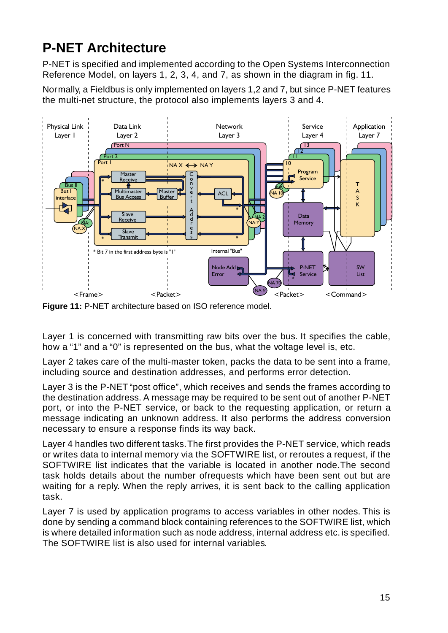## **P-NET Architecture**

P-NET is specified and implemented according to the Open Systems Interconnection Reference Model, on layers 1, 2, 3, 4, and 7, as shown in the diagram in fig. 11.

Normally, a Fieldbus is only implemented on layers 1,2 and 7, but since P-NET features the multi-net structure, the protocol also implements layers 3 and 4.



**Figure 11:** P-NET architecture based on ISO reference model.

Layer 1 is concerned with transmitting raw bits over the bus. It specifies the cable, how a "1" and a "0" is represented on the bus, what the voltage level is, etc.

Layer 2 takes care of the multi-master token, packs the data to be sent into a frame, including source and destination addresses, and performs error detection.

Layer 3 is the P-NET "post office", which receives and sends the frames according to the destination address. A message may be required to be sent out of another P-NET port, or into the P-NET service, or back to the requesting application, or return a message indicating an unknown address. It also performs the address conversion necessary to ensure a response finds its way back.

Layer 4 handles two different tasks. The first provides the P-NET service, which reads or writes data to internal memory via the SOFTWIRE list, or reroutes a request, if the SOFTWIRE list indicates that the variable is located in another node.The second task holds details about the number ofrequests which have been sent out but are waiting for a reply. When the reply arrives, it is sent back to the calling application task.

Layer 7 is used by application programs to access variables in other nodes. This is done by sending a command block containing references to the SOFTWIRE list, which is where detailed information such as node address, internal address etc. is specified. The SOFTWIRE list is also used for internal variables.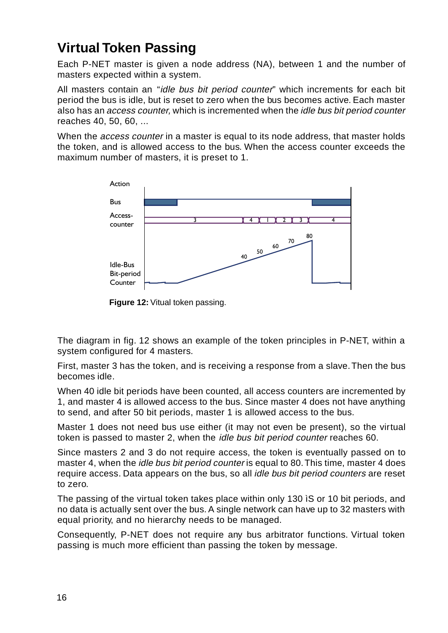### **Virtual Token Passing**

Each P-NET master is given a node address (NA), between 1 and the number of masters expected within a system.

All masters contain an "idle bus bit period counter" which increments for each bit period the bus is idle, but is reset to zero when the bus becomes active. Each master also has an access counter, which is incremented when the idle bus bit period counter reaches 40, 50, 60, ...

When the *access counter* in a master is equal to its node address, that master holds the token, and is allowed access to the bus. When the access counter exceeds the maximum number of masters, it is preset to 1.



**Figure 12:** Vitual token passing.

The diagram in fig. 12 shows an example of the token principles in P-NET, within a system configured for 4 masters.

First, master 3 has the token, and is receiving a response from a slave. Then the bus becomes idle.

When 40 idle bit periods have been counted, all access counters are incremented by 1, and master 4 is allowed access to the bus. Since master 4 does not have anything to send, and after 50 bit periods, master 1 is allowed access to the bus.

Master 1 does not need bus use either (it may not even be present), so the virtual token is passed to master 2, when the idle bus bit period counter reaches 60.

Since masters 2 and 3 do not require access, the token is eventually passed on to master 4, when the *idle bus bit period counter* is equal to 80. This time, master 4 does require access. Data appears on the bus, so all idle bus bit period counters are reset to zero.

The passing of the virtual token takes place within only 130 ìS or 10 bit periods, and no data is actually sent over the bus. A single network can have up to 32 masters with equal priority, and no hierarchy needs to be managed.

Consequently, P-NET does not require any bus arbitrator functions. Virtual token passing is much more efficient than passing the token by message.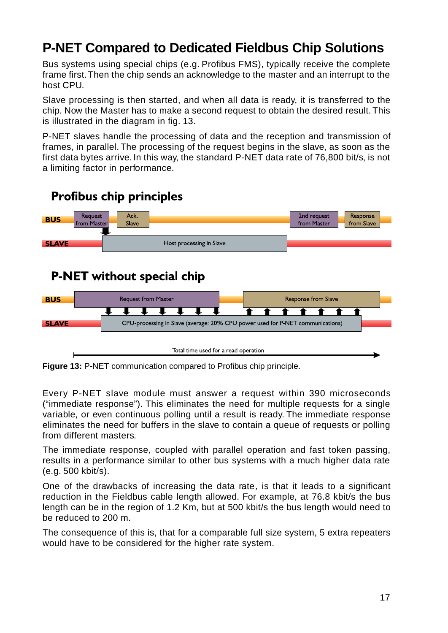### **P-NET Compared to Dedicated Fieldbus Chip Solutions**

Bus systems using special chips (e.g. Profibus FMS), typically receive the complete frame first. Then the chip sends an acknowledge to the master and an interrupt to the host CPU.

Slave processing is then started, and when all data is ready, it is transferred to the chip. Now the Master has to make a second request to obtain the desired result. This is illustrated in the diagram in fig. 13.

P-NET slaves handle the processing of data and the reception and transmission of frames, in parallel. The processing of the request begins in the slave, as soon as the first data bytes arrive. In this way, the standard P-NET data rate of 76,800 bit/s, is not a limiting factor in performance.



### **P-NET** without special chip



**Figure 13:** P-NET communication compared to Profibus chip principle.

Every P-NET slave module must answer a request within 390 microseconds ("immediate response"). This eliminates the need for multiple requests for a single variable, or even continuous polling until a result is ready. The immediate response eliminates the need for buffers in the slave to contain a queue of requests or polling from different masters.

The immediate response, coupled with parallel operation and fast token passing, results in a performance similar to other bus systems with a much higher data rate (e.g. 500 kbit/s).

One of the drawbacks of increasing the data rate, is that it leads to a significant reduction in the Fieldbus cable length allowed. For example, at 76.8 kbit/s the bus length can be in the region of 1.2 Km, but at 500 kbit/s the bus length would need to be reduced to 200 m.

The consequence of this is, that for a comparable full size system, 5 extra repeaters would have to be considered for the higher rate system.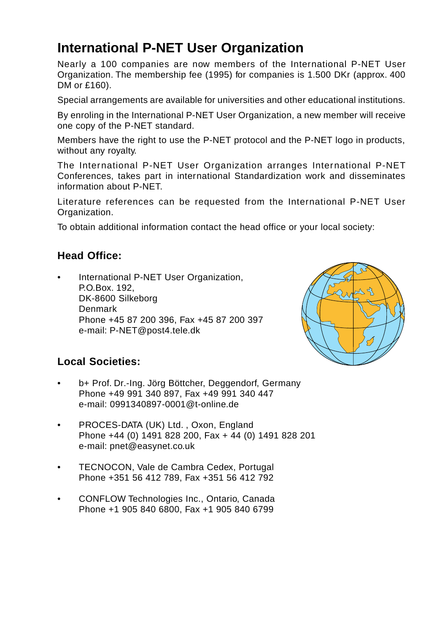### **International P-NET User Organization**

Nearly a 100 companies are now members of the International P-NET User Organization. The membership fee (1995) for companies is 1.500 DKr (approx. 400 DM or £160).

Special arrangements are available for universities and other educational institutions.

By enroling in the International P-NET User Organization, a new member will receive one copy of the P-NET standard.

Members have the right to use the P-NET protocol and the P-NET logo in products, without any royalty.

The International P-NET User Organization arranges International P-NET Conferences, takes part in international Standardization work and disseminates information about P-NET.

Literature references can be requested from the International P-NET User Organization.

To obtain additional information contact the head office or your local society:

### **Head Office:**

• International P-NET User Organization, P.O.Box. 192, DK-8600 Silkeborg Denmark Phone +45 87 200 396, Fax +45 87 200 397 e-mail: P-NET@post4.tele.dk



### **Local Societies:**

- b+ Prof. Dr.-Ing. Jörg Böttcher, Deggendorf, Germany Phone +49 991 340 897, Fax +49 991 340 447 e-mail: 0991340897-0001@t-online.de
- PROCES-DATA (UK) Ltd. , Oxon, England Phone +44 (0) 1491 828 200, Fax + 44 (0) 1491 828 201 e-mail: pnet@easynet.co.uk
- TECNOCON, Vale de Cambra Cedex, Portugal Phone +351 56 412 789, Fax +351 56 412 792
- CONFLOW Technologies Inc., Ontario, Canada Phone +1 905 840 6800, Fax +1 905 840 6799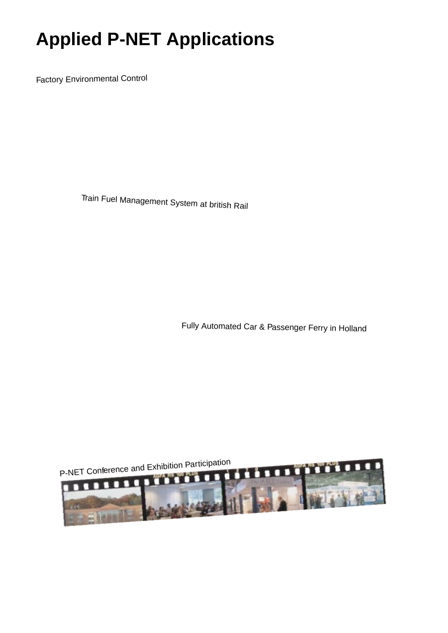# **Applied P-NET Applications**

Factory Environmental Control

Train Fuel Management System at british Rail

Fully Automated Car & Passenger Ferry in Holland

P-NET Conference and Exhibition Participation